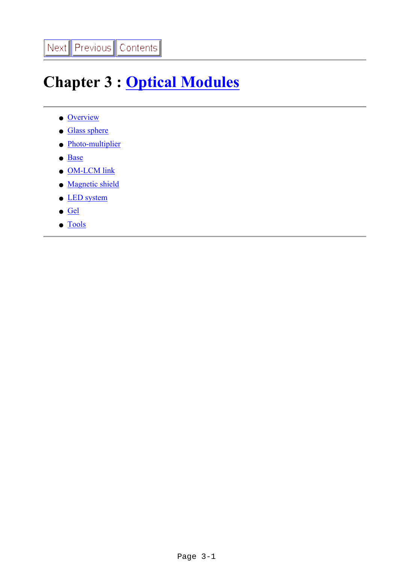# **Chapter 3 : [Optical Modules](file:///Z|/TDR/psfiles/Chap3_OM.pdf)**

- [Overview](#page-1-0)
- [Glass sphere](#page-7-0)
- [Photo-multiplier](#page-10-0)
- [Base](#page-12-0)
- [OM-LCM link](#page-14-0)
- [Magnetic shield](#page-16-0)
- **LED** system
- [Gel](#page-22-0)
- [Tools](#page-24-0)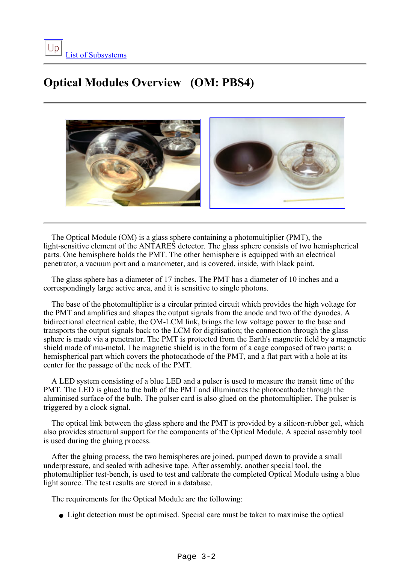## <span id="page-1-0"></span>**Optical Modules Overview (OM: PBS4)**



 The Optical Module (OM) is a glass sphere containing a photomultiplier (PMT), the light-sensitive element of the ANTARES detector. The glass sphere consists of two hemispherical parts. One hemisphere holds the PMT. The other hemisphere is equipped with an electrical penetrator, a vacuum port and a manometer, and is covered, inside, with black paint.

 The glass sphere has a diameter of 17 inches. The PMT has a diameter of 10 inches and a correspondingly large active area, and it is sensitive to single photons.

 The base of the photomultiplier is a circular printed circuit which provides the high voltage for the PMT and amplifies and shapes the output signals from the anode and two of the dynodes. A bidirectional electrical cable, the OM-LCM link, brings the low voltage power to the base and transports the output signals back to the LCM for digitisation; the connection through the glass sphere is made via a penetrator. The PMT is protected from the Earth's magnetic field by a magnetic shield made of mu-metal. The magnetic shield is in the form of a cage composed of two parts: a hemispherical part which covers the photocathode of the PMT, and a flat part with a hole at its center for the passage of the neck of the PMT.

 A LED system consisting of a blue LED and a pulser is used to measure the transit time of the PMT. The LED is glued to the bulb of the PMT and illuminates the photocathode through the aluminised surface of the bulb. The pulser card is also glued on the photomultiplier. The pulser is triggered by a clock signal.

 The optical link between the glass sphere and the PMT is provided by a silicon-rubber gel, which also provides structural support for the components of the Optical Module. A special assembly tool is used during the gluing process.

 After the gluing process, the two hemispheres are joined, pumped down to provide a small underpressure, and sealed with adhesive tape. After assembly, another special tool, the photomultiplier test-bench, is used to test and calibrate the completed Optical Module using a blue light source. The test results are stored in a database.

The requirements for the Optical Module are the following:

• Light detection must be optimised. Special care must be taken to maximise the optical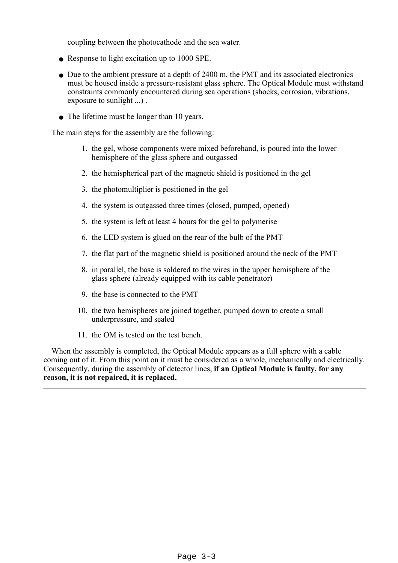coupling between the photocathode and the sea water.

- Response to light excitation up to 1000 SPE.
- Due to the ambient pressure at a depth of 2400 m, the PMT and its associated electronics must be housed inside a pressure-resistant glass sphere. The Optical Module must withstand constraints commonly encountered during sea operations (shocks, corrosion, vibrations, exposure to sunlight ...) .
- The lifetime must be longer than 10 years.

The main steps for the assembly are the following:

- 1. the gel, whose components were mixed beforehand, is poured into the lower hemisphere of the glass sphere and outgassed
- 2. the hemispherical part of the magnetic shield is positioned in the gel
- 3. the photomultiplier is positioned in the gel
- 4. the system is outgassed three times (closed, pumped, opened)
- 5. the system is left at least 4 hours for the gel to polymerise
- 6. the LED system is glued on the rear of the bulb of the PMT
- 7. the flat part of the magnetic shield is positioned around the neck of the PMT
- 8. in parallel, the base is soldered to the wires in the upper hemisphere of the glass sphere (already equipped with its cable penetrator)
- 9. the base is connected to the PMT
- 10. the two hemispheres are joined together, pumped down to create a small underpressure, and sealed
- 11. the OM is tested on the test bench.

 When the assembly is completed, the Optical Module appears as a full sphere with a cable coming out of it. From this point on it must be considered as a whole, mechanically and electrically. Consequently, during the assembly of detector lines, **if an Optical Module is faulty, for any reason, it is not repaired, it is replaced.**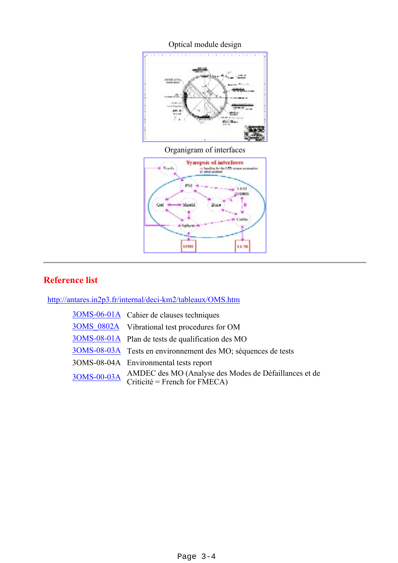

## **Reference list**

<http://antares.in2p3.fr/internal/deci-km2/tableaux/OMS.htm>

| 30MS-06-01A Cahier de clauses techniques                                                           |
|----------------------------------------------------------------------------------------------------|
| 3OMS 0802A Vibrational test procedures for OM                                                      |
| 30MS-08-01A Plan de tests de qualification des MO                                                  |
| 30MS-08-03A Tests en environnement des MO; séquences de tests                                      |
| 3OMS-08-04A Environmental tests report                                                             |
| 3OMS-00-03A AMDEC des MO (Analyse des Modes de Défaillances et de<br>Criticité = French for FMECA) |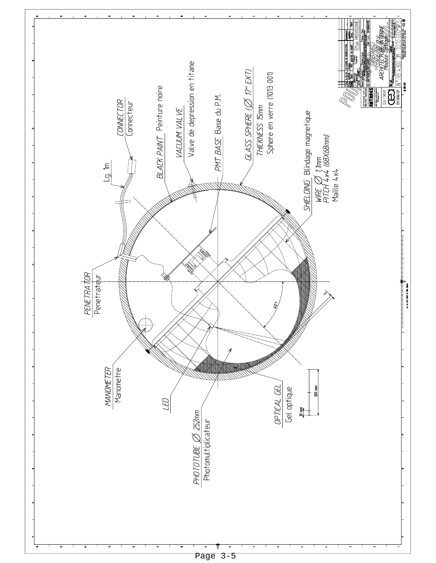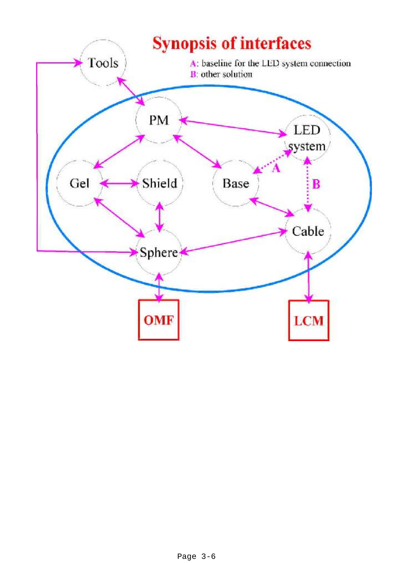<span id="page-5-0"></span>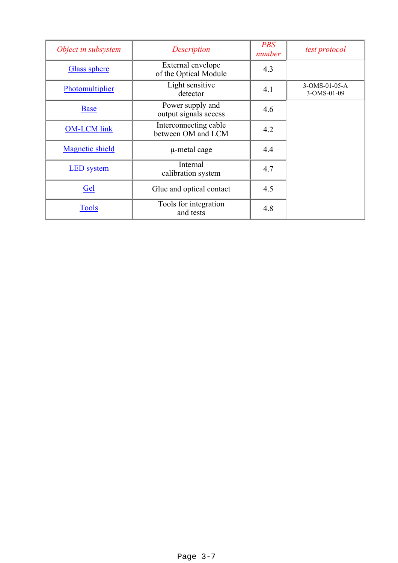| Object in subsystem    | Description                                 | <b>PBS</b><br>number | test protocol                |
|------------------------|---------------------------------------------|----------------------|------------------------------|
| <b>Glass sphere</b>    | External envelope<br>of the Optical Module  | 4.3                  |                              |
| Photomultiplier        | Light sensitive<br>detector                 | 4.1                  | 3-OMS-01-05-A<br>3-OMS-01-09 |
| <b>Base</b>            | Power supply and<br>output signals access   | 4.6                  |                              |
| <b>OM-LCM</b> link     | Interconnecting cable<br>between OM and LCM | 4.2                  |                              |
| <b>Magnetic shield</b> | µ-metal cage                                | 4.4                  |                              |
| <b>LED</b> system      | Internal<br>calibration system              | 4.7                  |                              |
| Gel                    | Glue and optical contact                    | 4.5                  |                              |
| <b>Tools</b>           | Tools for integration<br>and tests          | 4.8                  |                              |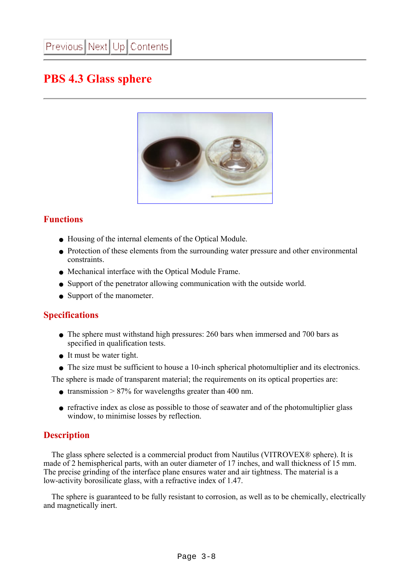## <span id="page-7-0"></span>**PBS 4.3 Glass sphere**



## **Functions**

- Housing of the internal elements of the Optical Module.
- Protection of these elements from the surrounding water pressure and other environmental constraints.
- Mechanical interface with the Optical Module Frame.
- Support of the penetrator allowing communication with the outside world.
- Support of the manometer.

## **Specifications**

- The sphere must withstand high pressures: 260 bars when immersed and 700 bars as specified in qualification tests.
- It must be water tight.
- The size must be sufficient to house a 10-inch spherical photomultiplier and its electronics.

The sphere is made of transparent material; the requirements on its optical properties are:

- transmission  $> 87\%$  for wavelengths greater than 400 nm.
- refractive index as close as possible to those of seawater and of the photomultiplier glass window, to minimise losses by reflection.

## **Description**

 The glass sphere selected is a commercial product from Nautilus (VITROVEX® sphere). It is made of 2 hemispherical parts, with an outer diameter of 17 inches, and wall thickness of 15 mm. The precise grinding of the interface plane ensures water and air tightness. The material is a low-activity borosilicate glass, with a refractive index of 1.47.

 The sphere is guaranteed to be fully resistant to corrosion, as well as to be chemically, electrically and magnetically inert.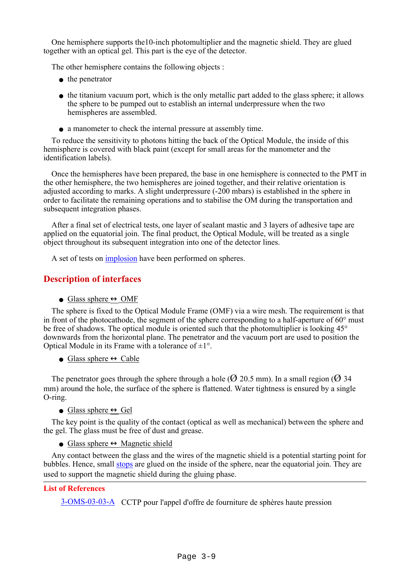One hemisphere supports the10-inch photomultiplier and the magnetic shield. They are glued together with an optical gel. This part is the eye of the detector.

The other hemisphere contains the following objects :

- the penetrator
- the titanium vacuum port, which is the only metallic part added to the glass sphere; it allows the sphere to be pumped out to establish an internal underpressure when the two hemispheres are assembled.
- a manometer to check the internal pressure at assembly time.

 To reduce the sensitivity to photons hitting the back of the Optical Module, the inside of this hemisphere is covered with black paint (except for small areas for the manometer and the identification labels).

 Once the hemispheres have been prepared, the base in one hemisphere is connected to the PMT in the other hemisphere, the two hemispheres are joined together, and their relative orientation is adjusted according to marks. A slight underpressure (-200 mbars) is established in the sphere in order to facilitate the remaining operations and to stabilise the OM during the transportation and subsequent integration phases.

 After a final set of electrical tests, one layer of sealant mastic and 3 layers of adhesive tape are applied on the equatorial join. The final product, the Optical Module, will be treated as a single object throughout its subsequent integration into one of the detector lines.

A set of tests on [implosion](#page-9-0) have been performed on spheres.

## **Description of interfaces**

#### • Glass sphere  $\leftrightarrow$  OMF

 The sphere is fixed to the Optical Module Frame (OMF) via a wire mesh. The requirement is that in front of the photocathode, the segment of the sphere corresponding to a half-aperture of 60° must be free of shadows. The optical module is oriented such that the photomultiplier is looking  $45^{\circ}$ downwards from the horizontal plane. The penetrator and the vacuum port are used to position the Optical Module in its Frame with a tolerance of  $\pm 1^{\circ}$ .

• Glass sphere  $\leftrightarrow$  Cable

The penetrator goes through the sphere through a hole ( $\Omega$  20.5 mm). In a small region ( $\Omega$  34 mm) around the hole, the surface of the sphere is flattened. Water tightness is ensured by a single O-ring.

#### • Glass sphere  $\leftrightarrow$  Gel

 The key point is the quality of the contact (optical as well as mechanical) between the sphere and the gel. The glass must be free of dust and grease.

• Glass sphere  $\leftrightarrow$  Magnetic shield

 Any contact between the glass and the wires of the magnetic shield is a potential starting point for bubbles. Hence, small [stops](file:///Z|/TDR/Desages/OM_Assembly/Cage_stops.jpg) are glued on the inside of the sphere, near the equatorial join. They are used to support the magnetic shield during the gluing phase.

#### **List of References**

[3-OMS-03-03-A](file:///Z|/TDR/documents/3OMS_03_03A.pdf) CCTP pour l'appel d'offre de fourniture de sphères haute pression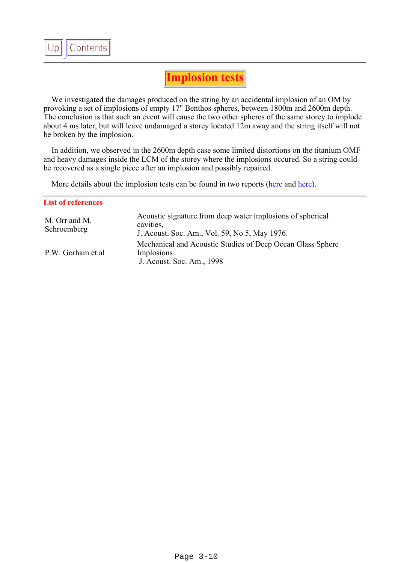<span id="page-9-0"></span>

## **Implosion tests**

 We investigated the damages produced on the string by an accidental implosion of an OM by provoking a set of implosions of empty 17" Benthos spheres, between 1800m and 2600m depth. The conclusion is that such an event will cause the two other spheres of the same storey to implode about 4 ms later, but will leave undamaged a storey located 12m away and the string itself will not be broken by the implosion.

 In addition, we observed in the 2600m depth case some limited distortions on the titanium OMF and heavy damages inside the LCM of the storey where the implosions occured. So a string could be recovered as a single piece after an implosion and possibly repaired.

More details about the implosion tests can be found in two reports ([here](file:///Z|/TDR/Desages/Rapport1_implosion.pdf) and [here](file:///Z|/TDR/Desages/Rapport2_implosion.pdf)).

| <b>List of references</b>    |                                                                                                                          |
|------------------------------|--------------------------------------------------------------------------------------------------------------------------|
| M. Orr and M.<br>Schroemberg | Acoustic signature from deep water implosions of spherical<br>cavities.<br>J. Acoust. Soc. Am., Vol. 59, No 5, May 1976. |
| P.W. Gorham et al            | Mechanical and Acoustic Studies of Deep Ocean Glass Sphere<br>Implosions<br>J. Acoust. Soc. Am., 1998                    |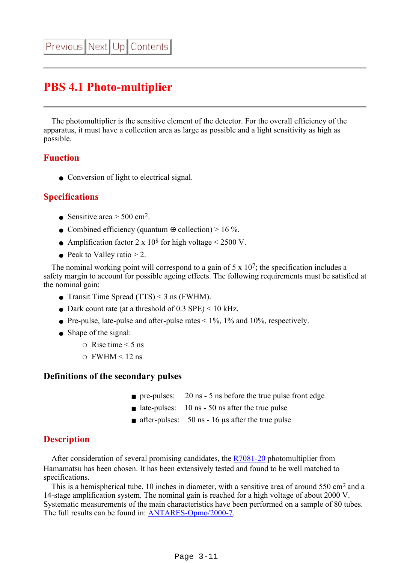## <span id="page-10-0"></span>**PBS 4.1 Photo-multiplier**

 The photomultiplier is the sensitive element of the detector. For the overall efficiency of the apparatus, it must have a collection area as large as possible and a light sensitivity as high as possible.

#### **Function**

• Conversion of light to electrical signal.

#### **Specifications**

- Sensitive area  $> 500$  cm<sup>2</sup>.
- Combined efficiency (quantum  $\oplus$  collection) > 16 %.
- Amplification factor  $2 \times 10^8$  for high voltage < 2500 V.
- $\bullet$  Peak to Valley ratio  $> 2$ .

The nominal working point will correspond to a gain of  $5 \times 10^7$ ; the specification includes a safety margin to account for possible ageing effects. The following requirements must be satisfied at the nominal gain:

- Transit Time Spread  $(TTS) < 3$  ns (FWHM).
- Dark count rate (at a threshold of  $0.3$  SPE)  $\leq 10$  kHz.
- Pre-pulse, late-pulse and after-pulse rates  $\leq 1\%$ , 1% and 10%, respectively.
- Shape of the signal:
	- $\circ$  Rise time  $\leq 5$  ns
	- $\Omega$  FWHM < 12 ns

#### **Definitions of the secondary pulses**

- pre-pulses: 20 ns 5 ns before the true pulse front edge
- $\blacksquare$  late-pulses: 10 ns 50 ns after the true pulse
- $\blacksquare$  after-pulses: 50 ns 16 us after the true pulse

#### **Description**

 After consideration of several promising candidates, the [R7081-20](file:///Z|/TDR/Desages/R7081-20_hr.jpg) photomultiplier from Hamamatsu has been chosen. It has been extensively tested and found to be well matched to specifications.

This is a hemispherical tube, 10 inches in diameter, with a sensitive area of around 550 cm<sup>2</sup> and a 14-stage amplification system. The nominal gain is reached for a high voltage of about 2000 V. Systematic measurements of the main characteristics have been performed on a sample of 80 tubes. The full results can be found in: [ANTARES-Opmo/2000-7.](file:///Z|/TDR/internalnotes/Opmo_200007.ps)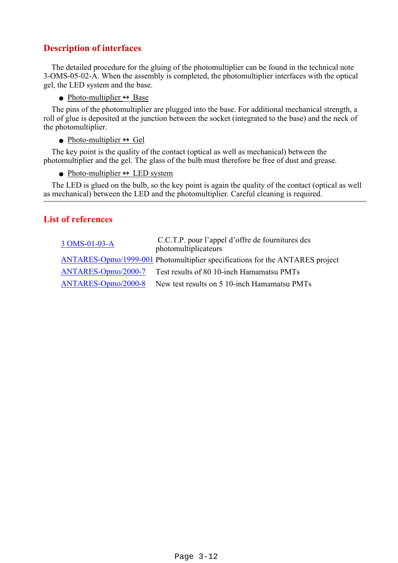## **Description of interfaces**

 The detailed procedure for the gluing of the photomultiplier can be found in the technical note 3-OMS-05-02-A. When the assembly is completed, the photomultiplier interfaces with the optical gel, the LED system and the base.

 $\bullet$  Photo-multiplier  $\leftrightarrow$  Base

 The pins of the photomultiplier are plugged into the base. For additional mechanical strength, a roll of glue is deposited at the junction between the socket (integrated to the base) and the neck of the photomultiplier.

#### $\bullet$  Photo-multiplier  $\leftrightarrow$  Gel

 The key point is the quality of the contact (optical as well as mechanical) between the photomultiplier and the gel. The glass of the bulb must therefore be free of dust and grease.

 $\bullet$  Photo-multiplier  $\leftrightarrow$  LED system

 The LED is glued on the bulb, so the key point is again the quality of the contact (optical as well as mechanical) between the LED and the photomultiplier. Careful cleaning is required.

## **List of references**

| 3 OMS-01-03-A       | C.C.T.P. pour l'appel d'offre de fournitures des<br>photomultiplicateurs     |
|---------------------|------------------------------------------------------------------------------|
|                     | ANTARES-Opmo/1999-001 Photomultiplier specifications for the ANTARES project |
| ANTARES-Opmo/2000-7 | Test results of 80 10-inch Hamamatsu PMTs                                    |
| ANTARES-Opmo/2000-8 | New test results on 5 10-inch Hamamatsu PMTs                                 |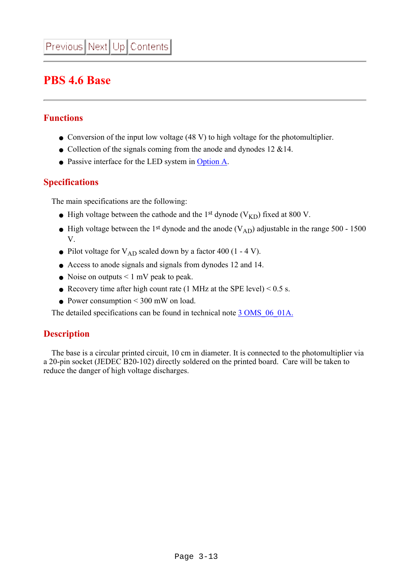## <span id="page-12-0"></span>**PBS 4.6 Base**

## **Functions**

- Conversion of the input low voltage (48 V) to high voltage for the photomultiplier.
- Collection of the signals coming from the anode and dynodes  $12 \& 14$ .
- Passive interface for the LED system in [Option A.](#page-5-0)

## **Specifications**

The main specifications are the following:

- High voltage between the cathode and the 1<sup>st</sup> dynode (V<sub>KD</sub>) fixed at 800 V.
- High voltage between the 1<sup>st</sup> dynode and the anode  $(V_{AD})$  adjustable in the range 500 1500 V.
- Pilot voltage for  $V_{AD}$  scaled down by a factor 400 (1 4 V).
- Access to anode signals and signals from dynodes 12 and 14.
- Noise on outputs  $\leq 1$  mV peak to peak.
- Recovery time after high count rate (1 MHz at the SPE level)  $< 0.5$  s.
- Power consumption  $\leq 300$  mW on load.

The detailed specifications can be found in technical note 3 OMS 06 01A.

## **Description**

 The base is a circular printed circuit, 10 cm in diameter. It is connected to the photomultiplier via a 20-pin socket (JEDEC B20-102) directly soldered on the printed board. Care will be taken to reduce the danger of high voltage discharges.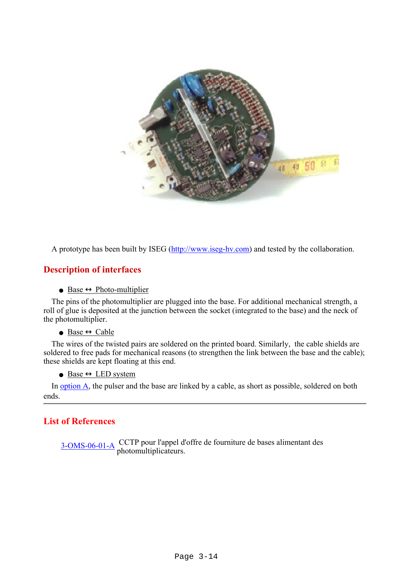

A prototype has been built by ISEG ([http://www.iseg-hv.com\)](http://www.iseg-hv.com/) and tested by the collaboration.

#### **Description of interfaces**

#### $\bullet$  Base  $\leftrightarrow$  Photo-multiplier

 The pins of the photomultiplier are plugged into the base. For additional mechanical strength, a roll of glue is deposited at the junction between the socket (integrated to the base) and the neck of the photomultiplier.

#### $\bullet$  Base  $\leftrightarrow$  Cable

 The wires of the twisted pairs are soldered on the printed board. Similarly, the cable shields are soldered to free pads for mechanical reasons (to strengthen the link between the base and the cable); these shields are kept floating at this end.

 $\bullet$  Base  $\leftrightarrow$  LED system

 In [option A](#page-5-0), the pulser and the base are linked by a cable, as short as possible, soldered on both ends.

#### **List of References**

[3-OMS-06-01-A](file:///Z|/TDR/documents/3OMS_06_01A.pdf) CCTP pour l'appel d'offre de fourniture de bases alimentant des photomultiplicateurs.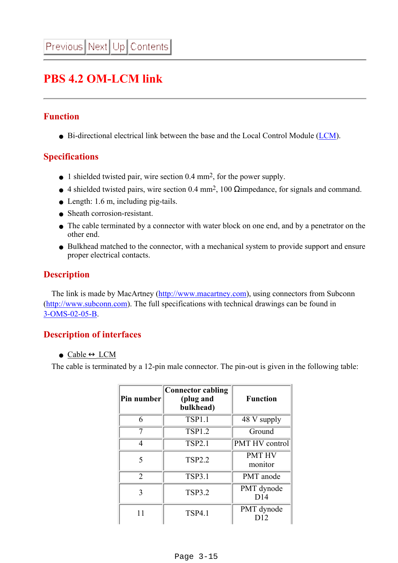## <span id="page-14-0"></span>**PBS 4.2 OM-LCM link**

## **Function**

● Bi-directional electrical link between the base and the Local Control Module ([LCM\)](file:///Z|/TDR/Olivetto/LCMobjects.html).

## **Specifications**

- 1 shielded twisted pair, wire section 0.4 mm<sup>2</sup>, for the power supply.
- $\bullet$  4 shielded twisted pairs, wire section 0.4 mm<sup>2</sup>, 100  $\Omega$ impedance, for signals and command.
- $\bullet$  Length: 1.6 m, including pig-tails.
- Sheath corrosion-resistant.
- The cable terminated by a connector with water block on one end, and by a penetrator on the other end.
- Bulkhead matched to the connector, with a mechanical system to provide support and ensure proper electrical contacts.

### **Description**

 The link is made by MacArtney ([http://www.macartney.com](http://www.macartney.com/)), using connectors from Subconn ([http://www.subconn.com](http://www.subconn.com/)). The full specifications with technical drawings can be found in [3-OMS-02-05-B.](file:///Z|/TDR/documents/3OMS_02_05B.pdf)

## **Description of interfaces**

#### • Cable  $\leftrightarrow$  LCM

The cable is terminated by a 12-pin male connector. The pin-out is given in the following table:

| Pin number     | Connector cabling<br>(plug and<br>bulkhead) | <b>Function</b>          |
|----------------|---------------------------------------------|--------------------------|
| 6              | <b>TSP1.1</b>                               | 48 V supply              |
|                | <b>TSP1.2</b>                               | Ground                   |
| 4              | <b>TSP2.1</b>                               | PMT HV control           |
| 5              | <b>TSP2.2</b>                               | <b>PMT HV</b><br>monitor |
| $\overline{2}$ | <b>TSP3.1</b>                               | PMT anode                |
| 3              | <b>TSP3.2</b>                               | PMT dynode<br>D14        |
| 11             | <b>TSP4.1</b>                               | PMT dynode               |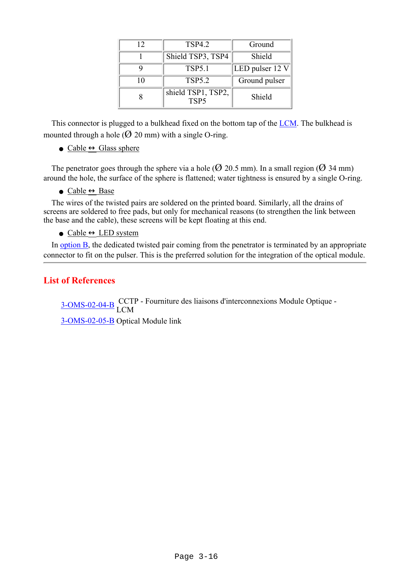| 12 | <b>TSP4.2</b>                          | Ground          |
|----|----------------------------------------|-----------------|
|    | Shield TSP3, TSP4                      | Shield          |
|    | <b>TSP5.1</b>                          | LED pulser 12 V |
| 10 | <b>TSP5.2</b>                          | Ground pulser   |
|    | shield TSP1, TSP2,<br>TSP <sub>5</sub> | Shield          |

 This connector is plugged to a bulkhead fixed on the bottom tap of the [LCM.](file:///Z|/TDR/Jaquet/lcm_container.html) The bulkhead is mounted through a hole ( $\varnothing$  20 mm) with a single O-ring.

• Cable  $\leftrightarrow$  Glass sphere

The penetrator goes through the sphere via a hole ( $\varnothing$  20.5 mm). In a small region ( $\varnothing$  34 mm) around the hole, the surface of the sphere is flattened; water tightness is ensured by a single O-ring.

 $\bullet$  Cable  $\leftrightarrow$  Base

 The wires of the twisted pairs are soldered on the printed board. Similarly, all the drains of screens are soldered to free pads, but only for mechanical reasons (to strengthen the link between the base and the cable), these screens will be kept floating at this end.

 $\bullet$  Cable  $\leftrightarrow$  LED system

In [option B,](#page-5-0) the dedicated twisted pair coming from the penetrator is terminated by an appropriate connector to fit on the pulser. This is the preferred solution for the integration of the optical module.

### **List of References**

[3-OMS-02-04-B](file:///Z|/TDR/documents/3OMS_02_04B.pdf) CCTP - Fourniture des liaisons d'interconnexions Module Optique -<br>LCM [3-OMS-02-05-B](file:///Z|/TDR/documents/3OMS_02_05B.pdf) Optical Module link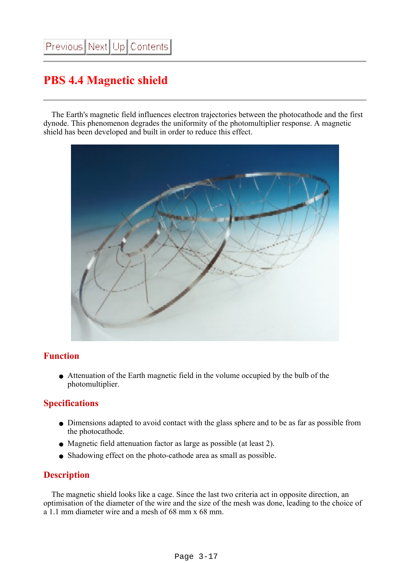## <span id="page-16-0"></span>**PBS 4.4 Magnetic shield**

 The Earth's magnetic field influences electron trajectories between the photocathode and the first dynode. This phenomenon degrades the uniformity of the photomultiplier response. A magnetic shield has been developed and built in order to reduce this effect.



## **Function**

• Attenuation of the Earth magnetic field in the volume occupied by the bulb of the photomultiplier.

## **Specifications**

- Dimensions adapted to avoid contact with the glass sphere and to be as far as possible from the photocathode.
- Magnetic field attenuation factor as large as possible (at least 2).
- Shadowing effect on the photo-cathode area as small as possible.

## **Description**

 The magnetic shield looks like a cage. Since the last two criteria act in opposite direction, an optimisation of the diameter of the wire and the size of the mesh was done, leading to the choice of a 1.1 mm diameter wire and a mesh of 68 mm x 68 mm.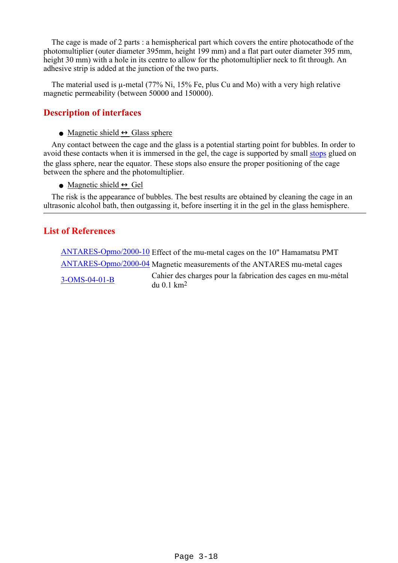The cage is made of 2 parts : a hemispherical part which covers the entire photocathode of the photomultiplier (outer diameter 395mm, height 199 mm) and a flat part outer diameter 395 mm, height 30 mm) with a hole in its centre to allow for the photomultiplier neck to fit through. An adhesive strip is added at the junction of the two parts.

 The material used is µ-metal (77% Ni, 15% Fe, plus Cu and Mo) with a very high relative magnetic permeability (between 50000 and 150000).

## **Description of interfaces**

• Magnetic shield  $\leftrightarrow$  Glass sphere

 Any contact between the cage and the glass is a potential starting point for bubbles. In order to avoid these contacts when it is immersed in the gel, the cage is supported by small [stops](file:///Z|/TDR/Desages/OM_Assembly/Cage_stops.jpg) glued on the glass sphere, near the equator. These stops also ensure the proper positioning of the cage between the sphere and the photomultiplier.

• Magnetic shield  $\leftrightarrow$  Gel

 The risk is the appearance of bubbles. The best results are obtained by cleaning the cage in an ultrasonic alcohol bath, then outgassing it, before inserting it in the gel in the glass hemisphere.

## **List of References**

[ANTARES-Opmo/2000-10](file:///Z|/TDR/internalnotes/Opmo_200010.ps) Effect of the mu-metal cages on the 10" Hamamatsu PMT [ANTARES-Opmo/2000-04](file:///Z|/TDR/internalnotes/Opmo_200004.ps) Magnetic measurements of the ANTARES mu-metal cages [3-OMS-04-01-B](file:///Z|/TDR/documents/3OMS_04_01B.pdf) Cahier des charges pour la fabrication des cages en mu-métal du 0.1 km2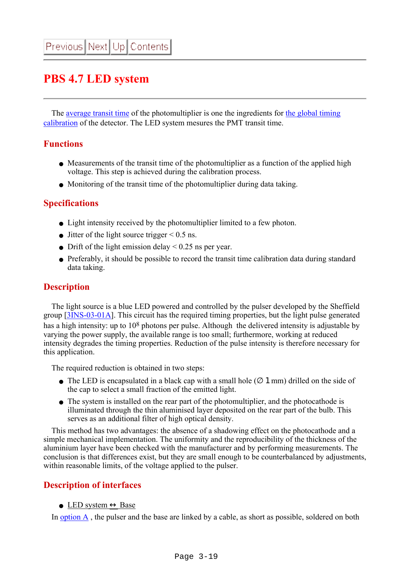## <span id="page-18-0"></span>**PBS 4.7 LED system**

 The [average transit time](#page-20-0) of the photomultiplier is one the ingredients for [the global timing](file:///Z|/TDR/Bertin/Timing_calibration.html) [calibration](file:///Z|/TDR/Bertin/Timing_calibration.html) of the detector. The LED system mesures the PMT transit time.

### **Functions**

- Measurements of the transit time of the photomultiplier as a function of the applied high voltage. This step is achieved during the calibration process.
- Monitoring of the transit time of the photomultiplier during data taking.

## **Specifications**

- Light intensity received by the photomultiplier limited to a few photon.
- Jitter of the light source trigger  $\leq 0.5$  ns.
- Drift of the light emission delay  $\leq 0.25$  ns per year.
- Preferably, it should be possible to record the transit time calibration data during standard data taking.

## **Description**

 The light source is a blue LED powered and controlled by the pulser developed by the Sheffield group [[3INS-03-01A\]](file:///Z|/TDR/documents/3INS_03_01A.pdf). This circuit has the required timing properties, but the light pulse generated has a high intensity: up to 10<sup>8</sup> photons per pulse. Although the delivered intensity is adjustable by varying the power supply, the available range is too small; furthermore, working at reduced intensity degrades the timing properties. Reduction of the pulse intensity is therefore necessary for this application.

The required reduction is obtained in two steps:

- The LED is encapsulated in a black cap with a small hole  $(\emptyset 1 \text{ mm})$  drilled on the side of the cap to select a small fraction of the emitted light.
- The system is installed on the rear part of the photomultiplier, and the photocathode is illuminated through the thin aluminised layer deposited on the rear part of the bulb. This serves as an additional filter of high optical density.

 This method has two advantages: the absence of a shadowing effect on the photocathode and a simple mechanical implementation. The uniformity and the reproducibility of the thickness of the aluminium layer have been checked with the manufacturer and by performing measurements. The conclusion is that differences exist, but they are small enough to be counterbalanced by adjustments, within reasonable limits, of the voltage applied to the pulser.

## **Description of interfaces**

• LED system  $\leftrightarrow$  Base

In [option A](#page-5-0) , the pulser and the base are linked by a cable, as short as possible, soldered on both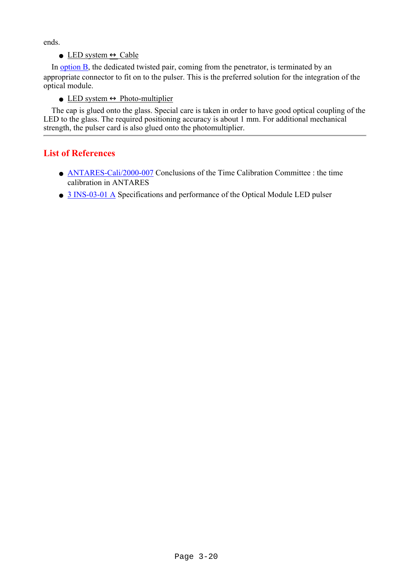ends.

 $\bullet$  LED system  $\leftrightarrow$  Cable

In [option B,](#page-5-0) the dedicated twisted pair, coming from the penetrator, is terminated by an appropriate connector to fit on to the pulser. This is the preferred solution for the integration of the optical module.

• LED system  $\leftrightarrow$  Photo-multiplier

 The cap is glued onto the glass. Special care is taken in order to have good optical coupling of the LED to the glass. The required positioning accuracy is about 1 mm. For additional mechanical strength, the pulser card is also glued onto the photomultiplier.

## **List of References**

- **ANTARES-Cali/2000-007** Conclusions of the Time Calibration Committee : the time calibration in ANTARES
- [3 INS-03-01 A](file:///Z|/TDR/documents/3INS_03_01A.pdf) Specifications and performance of the Optical Module LED pulser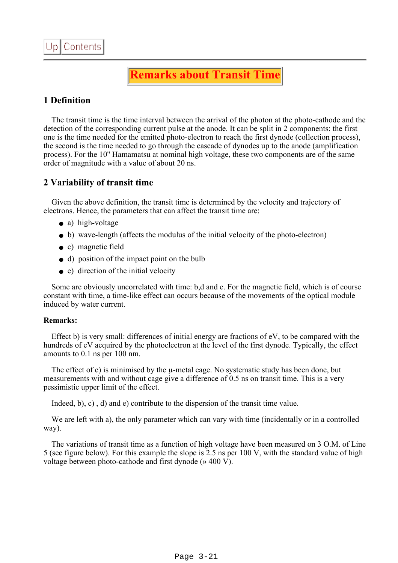## **Remarks about Transit Time**

## <span id="page-20-0"></span>**1 Definition**

The transit time is the time interval between the arrival of the photon at the photo-cathode and the detection of the corresponding current pulse at the anode. It can be split in 2 components: the first one is the time needed for the emitted photo-electron to reach the first dynode (collection process), the second is the time needed to go through the cascade of dynodes up to the anode (amplification process). For the 10'' Hamamatsu at nominal high voltage, these two components are of the same order of magnitude with a value of about 20 ns.

### **2 Variability of transit time**

 Given the above definition, the transit time is determined by the velocity and trajectory of electrons. Hence, the parameters that can affect the transit time are:

- a) high-voltage
- b) wave-length (affects the modulus of the initial velocity of the photo-electron)
- c) magnetic field
- d) position of the impact point on the bulb
- e) direction of the initial velocity

 Some are obviously uncorrelated with time: b,d and e. For the magnetic field, which is of course constant with time, a time-like effect can occurs because of the movements of the optical module induced by water current.

#### **Remarks:**

 Effect b) is very small: differences of initial energy are fractions of eV, to be compared with the hundreds of eV acquired by the photoelectron at the level of the first dynode. Typically, the effect amounts to 0.1 ns per 100 nm.

The effect of c) is minimised by the  $\mu$ -metal cage. No systematic study has been done, but measurements with and without cage give a difference of 0.5 ns on transit time. This is a very pessimistic upper limit of the effect.

Indeed, b), c) , d) and e) contribute to the dispersion of the transit time value.

 We are left with a), the only parameter which can vary with time (incidentally or in a controlled way).

 The variations of transit time as a function of high voltage have been measured on 3 O.M. of Line 5 (see figure below). For this example the slope is 2.5 ns per 100 V, with the standard value of high voltage between photo-cathode and first dynode (» 400 V).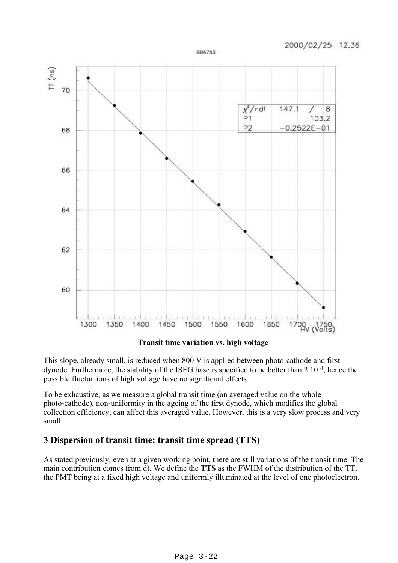

BB6753

**Transit time variation vs. high voltage**

This slope, already small, is reduced when 800 V is applied between photo-cathode and first dynode. Furthermore, the stability of the ISEG base is specified to be better than 2.10-4, hence the possible fluctuations of high voltage have no significant effects.

To be exhaustive, as we measure a global transit time (an averaged value on the whole photo-cathode), non-uniformity in the ageing of the first dynode, which modifies the global collection efficiency, can affect this averaged value. However, this is a very slow process and very small.

## **3 Dispersion of transit time: transit time spread (TTS)**

As stated previously, even at a given working point, there are still variations of the transit time. The main contribution comes from d). We define the **TTS** as the FWHM of the distribution of the TT, the PMT being at a fixed high voltage and uniformly illuminated at the level of one photoelectron.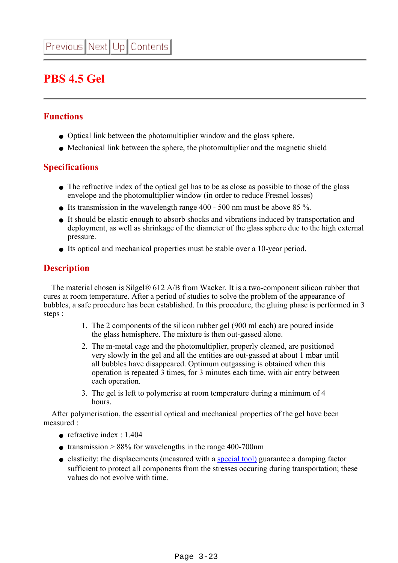## <span id="page-22-0"></span>**PBS 4.5 Gel**

## **Functions**

- Optical link between the photomultiplier window and the glass sphere.
- Mechanical link between the sphere, the photomultiplier and the magnetic shield

## **Specifications**

- The refractive index of the optical gel has to be as close as possible to those of the glass envelope and the photomultiplier window (in order to reduce Fresnel losses)
- Its transmission in the wavelength range  $400 500$  nm must be above 85 %.
- It should be elastic enough to absorb shocks and vibrations induced by transportation and deployment, as well as shrinkage of the diameter of the glass sphere due to the high external pressure.
- Its optical and mechanical properties must be stable over a 10-year period.

## **Description**

 The material chosen is Silgel® 612 A/B from Wacker. It is a two-component silicon rubber that cures at room temperature. After a period of studies to solve the problem of the appearance of bubbles, a safe procedure has been established. In this procedure, the gluing phase is performed in 3 steps :

- 1. The 2 components of the silicon rubber gel (900 ml each) are poured inside the glass hemisphere. The mixture is then out-gassed alone.
- 2. The m-metal cage and the photomultiplier, properly cleaned, are positioned very slowly in the gel and all the entities are out-gassed at about 1 mbar until all bubbles have disappeared. Optimum outgassing is obtained when this operation is repeated 3 times, for 3 minutes each time, with air entry between each operation.
- 3. The gel is left to polymerise at room temperature during a minimum of 4 hours.

 After polymerisation, the essential optical and mechanical properties of the gel have been measured :

- refractive index :  $1.404$
- transmission  $> 88\%$  for wavelengths in the range 400-700nm
- elasticity: the displacements (measured with a [special tool\)](file:///Z|/TDR/Desages/Viscometer.jpg) guarantee a damping factor sufficient to protect all components from the stresses occuring during transportation; these values do not evolve with time.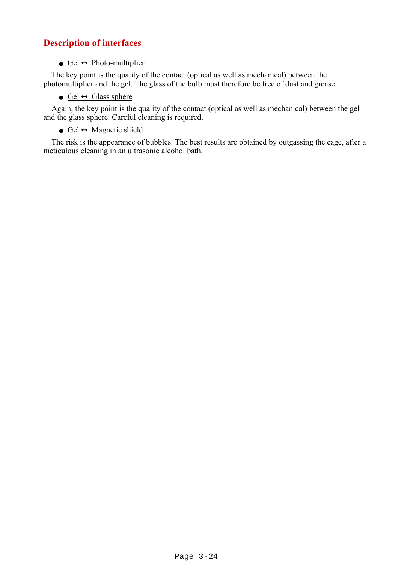## **Description of interfaces**

#### $\bullet$  Gel  $\leftrightarrow$  Photo-multiplier

 The key point is the quality of the contact (optical as well as mechanical) between the photomultiplier and the gel. The glass of the bulb must therefore be free of dust and grease.

• Gel  $\leftrightarrow$  Glass sphere

 Again, the key point is the quality of the contact (optical as well as mechanical) between the gel and the glass sphere. Careful cleaning is required.

 $\odot$  Gel  $\leftrightarrow$  Magnetic shield

 The risk is the appearance of bubbles. The best results are obtained by outgassing the cage, after a meticulous cleaning in an ultrasonic alcohol bath.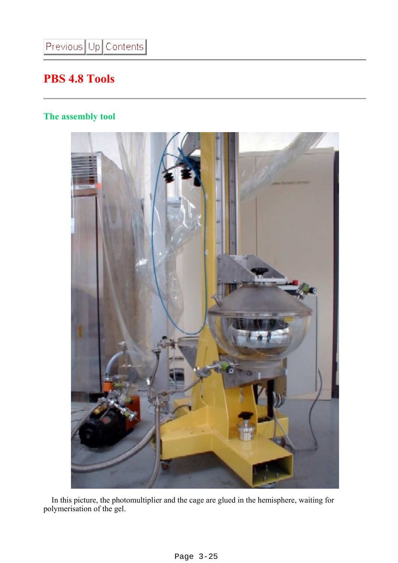## <span id="page-24-0"></span>**PBS 4.8 Tools**

## **The assembly tool**



 In this picture, the photomultiplier and the cage are glued in the hemisphere, waiting for polymerisation of the gel.